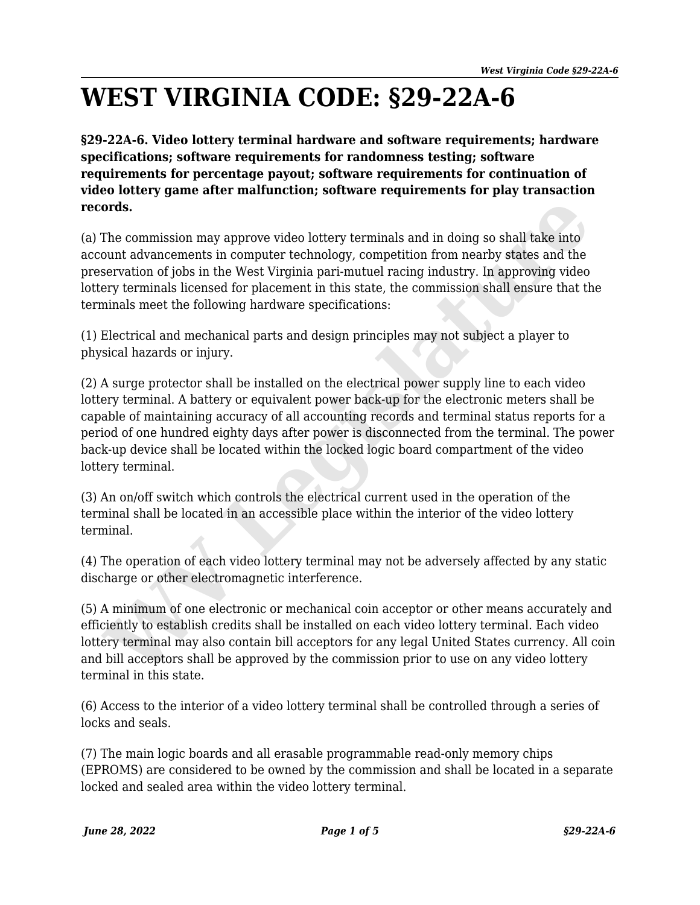## **WEST VIRGINIA CODE: §29-22A-6**

**§29-22A-6. Video lottery terminal hardware and software requirements; hardware specifications; software requirements for randomness testing; software requirements for percentage payout; software requirements for continuation of video lottery game after malfunction; software requirements for play transaction records.**

(a) The commission may approve video lottery terminals and in doing so shall take into account advancements in computer technology, competition from nearby states and the preservation of jobs in the West Virginia pari-mutuel racing industry. In approving video lottery terminals licensed for placement in this state, the commission shall ensure that the terminals meet the following hardware specifications:

(1) Electrical and mechanical parts and design principles may not subject a player to physical hazards or injury.

(2) A surge protector shall be installed on the electrical power supply line to each video lottery terminal. A battery or equivalent power back-up for the electronic meters shall be capable of maintaining accuracy of all accounting records and terminal status reports for a period of one hundred eighty days after power is disconnected from the terminal. The power back-up device shall be located within the locked logic board compartment of the video lottery terminal. **ords.**<br>
The commission may approve video lottery terminals and in doing so shall take into<br>
count advancements in computer technology, competition from nearly states and the<br>
servation of jobs in the West Virginia pari-mu

(3) An on/off switch which controls the electrical current used in the operation of the terminal shall be located in an accessible place within the interior of the video lottery terminal.

(4) The operation of each video lottery terminal may not be adversely affected by any static discharge or other electromagnetic interference.

(5) A minimum of one electronic or mechanical coin acceptor or other means accurately and efficiently to establish credits shall be installed on each video lottery terminal. Each video lottery terminal may also contain bill acceptors for any legal United States currency. All coin and bill acceptors shall be approved by the commission prior to use on any video lottery terminal in this state.

(6) Access to the interior of a video lottery terminal shall be controlled through a series of locks and seals.

(7) The main logic boards and all erasable programmable read-only memory chips (EPROMS) are considered to be owned by the commission and shall be located in a separate locked and sealed area within the video lottery terminal.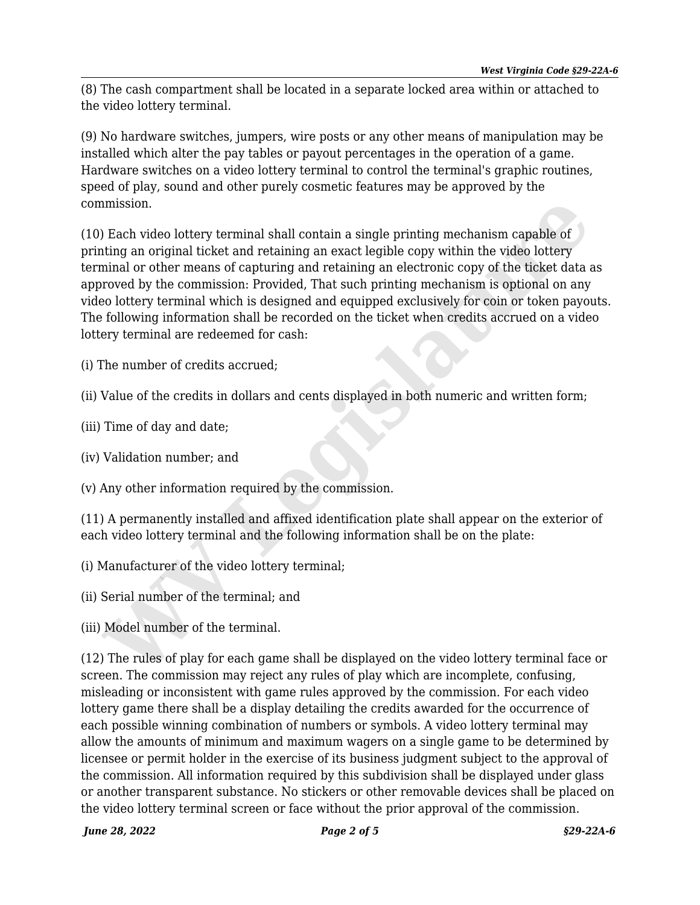(8) The cash compartment shall be located in a separate locked area within or attached to the video lottery terminal.

(9) No hardware switches, jumpers, wire posts or any other means of manipulation may be installed which alter the pay tables or payout percentages in the operation of a game. Hardware switches on a video lottery terminal to control the terminal's graphic routines, speed of play, sound and other purely cosmetic features may be approved by the commission.

(10) Each video lottery terminal shall contain a single printing mechanism capable of printing an original ticket and retaining an exact legible copy within the video lottery terminal or other means of capturing and retaining an electronic copy of the ticket data as approved by the commission: Provided, That such printing mechanism is optional on any video lottery terminal which is designed and equipped exclusively for coin or token payouts. The following information shall be recorded on the ticket when credits accrued on a video lottery terminal are redeemed for cash: mission.<br>Inission.<br>In Each video lottery terminal shall contain a single printing mechanism capable of<br>thing an original ticket and retaining an exact legible copy within the video lottery<br>ininal or other means of capturin

(i) The number of credits accrued;

(ii) Value of the credits in dollars and cents displayed in both numeric and written form;

(iii) Time of day and date;

(iv) Validation number; and

(v) Any other information required by the commission.

(11) A permanently installed and affixed identification plate shall appear on the exterior of each video lottery terminal and the following information shall be on the plate:

(i) Manufacturer of the video lottery terminal;

(ii) Serial number of the terminal; and

(iii) Model number of the terminal.

(12) The rules of play for each game shall be displayed on the video lottery terminal face or screen. The commission may reject any rules of play which are incomplete, confusing, misleading or inconsistent with game rules approved by the commission. For each video lottery game there shall be a display detailing the credits awarded for the occurrence of each possible winning combination of numbers or symbols. A video lottery terminal may allow the amounts of minimum and maximum wagers on a single game to be determined by licensee or permit holder in the exercise of its business judgment subject to the approval of the commission. All information required by this subdivision shall be displayed under glass or another transparent substance. No stickers or other removable devices shall be placed on the video lottery terminal screen or face without the prior approval of the commission.

*June 28, 2022 Page 2 of 5 §29-22A-6*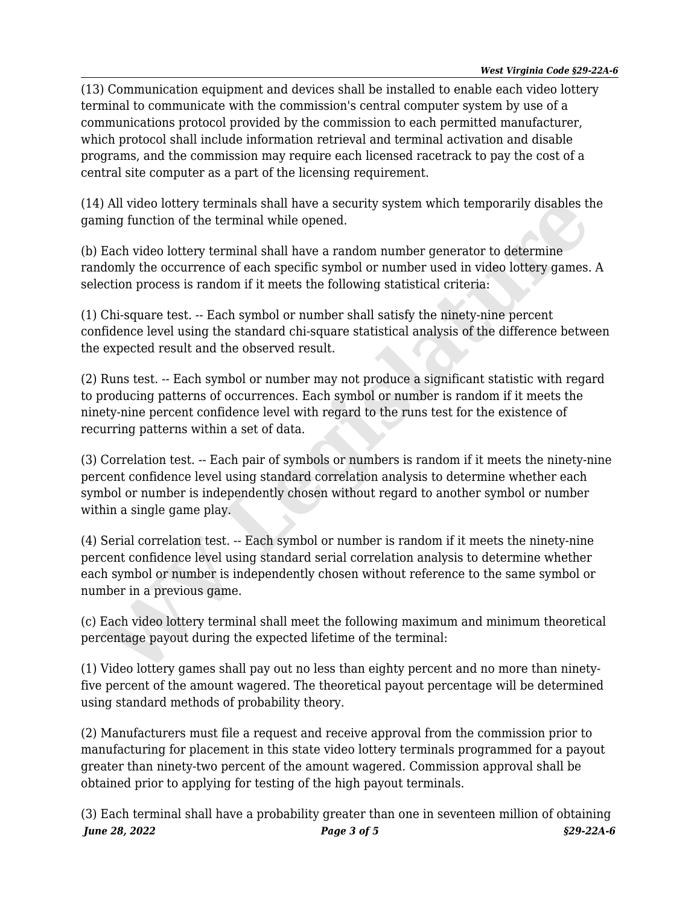(13) Communication equipment and devices shall be installed to enable each video lottery terminal to communicate with the commission's central computer system by use of a communications protocol provided by the commission to each permitted manufacturer, which protocol shall include information retrieval and terminal activation and disable programs, and the commission may require each licensed racetrack to pay the cost of a central site computer as a part of the licensing requirement.

(14) All video lottery terminals shall have a security system which temporarily disables the gaming function of the terminal while opened.

(b) Each video lottery terminal shall have a random number generator to determine randomly the occurrence of each specific symbol or number used in video lottery games. A selection process is random if it meets the following statistical criteria:

(1) Chi-square test. -- Each symbol or number shall satisfy the ninety-nine percent confidence level using the standard chi-square statistical analysis of the difference between the expected result and the observed result.

(2) Runs test. -- Each symbol or number may not produce a significant statistic with regard to producing patterns of occurrences. Each symbol or number is random if it meets the ninety-nine percent confidence level with regard to the runs test for the existence of recurring patterns within a set of data. ) All video lottery terminals shall have a security system which temporarily disables thing function of the terminal shall have a security system which temporarily disables thing flacto video lottery terminal shall have a

(3) Correlation test. -- Each pair of symbols or numbers is random if it meets the ninety-nine percent confidence level using standard correlation analysis to determine whether each symbol or number is independently chosen without regard to another symbol or number within a single game play.

(4) Serial correlation test. -- Each symbol or number is random if it meets the ninety-nine percent confidence level using standard serial correlation analysis to determine whether each symbol or number is independently chosen without reference to the same symbol or number in a previous game.

(c) Each video lottery terminal shall meet the following maximum and minimum theoretical percentage payout during the expected lifetime of the terminal:

(1) Video lottery games shall pay out no less than eighty percent and no more than ninetyfive percent of the amount wagered. The theoretical payout percentage will be determined using standard methods of probability theory.

(2) Manufacturers must file a request and receive approval from the commission prior to manufacturing for placement in this state video lottery terminals programmed for a payout greater than ninety-two percent of the amount wagered. Commission approval shall be obtained prior to applying for testing of the high payout terminals.

*June 28, 2022 Page 3 of 5 §29-22A-6* (3) Each terminal shall have a probability greater than one in seventeen million of obtaining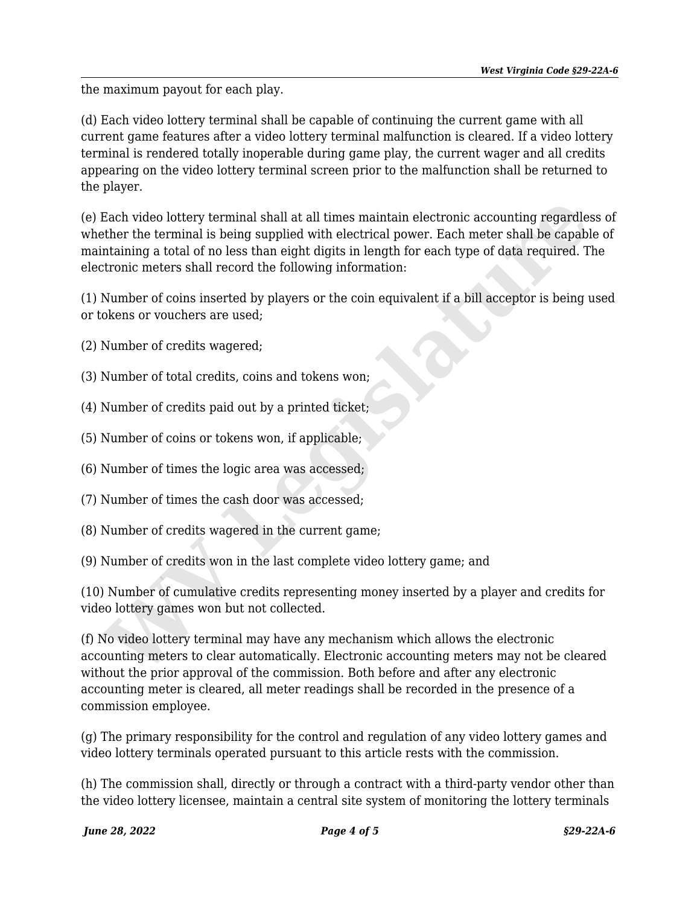the maximum payout for each play.

(d) Each video lottery terminal shall be capable of continuing the current game with all current game features after a video lottery terminal malfunction is cleared. If a video lottery terminal is rendered totally inoperable during game play, the current wager and all credits appearing on the video lottery terminal screen prior to the malfunction shall be returned to the player.

(e) Each video lottery terminal shall at all times maintain electronic accounting regardless of whether the terminal is being supplied with electrical power. Each meter shall be capable of maintaining a total of no less than eight digits in length for each type of data required. The electronic meters shall record the following information: Each video lottery terminal shall at all times maintain electronic accounting regardles<br>ther the terminal is being supplied with electrical power. Each meter shall be capabl<br>traning a total of no lass than eight digits in

(1) Number of coins inserted by players or the coin equivalent if a bill acceptor is being used or tokens or vouchers are used;

(2) Number of credits wagered;

(3) Number of total credits, coins and tokens won;

(4) Number of credits paid out by a printed ticket;

(5) Number of coins or tokens won, if applicable;

(6) Number of times the logic area was accessed;

(7) Number of times the cash door was accessed;

(8) Number of credits wagered in the current game;

(9) Number of credits won in the last complete video lottery game; and

(10) Number of cumulative credits representing money inserted by a player and credits for video lottery games won but not collected.

(f) No video lottery terminal may have any mechanism which allows the electronic accounting meters to clear automatically. Electronic accounting meters may not be cleared without the prior approval of the commission. Both before and after any electronic accounting meter is cleared, all meter readings shall be recorded in the presence of a commission employee.

(g) The primary responsibility for the control and regulation of any video lottery games and video lottery terminals operated pursuant to this article rests with the commission.

(h) The commission shall, directly or through a contract with a third-party vendor other than the video lottery licensee, maintain a central site system of monitoring the lottery terminals